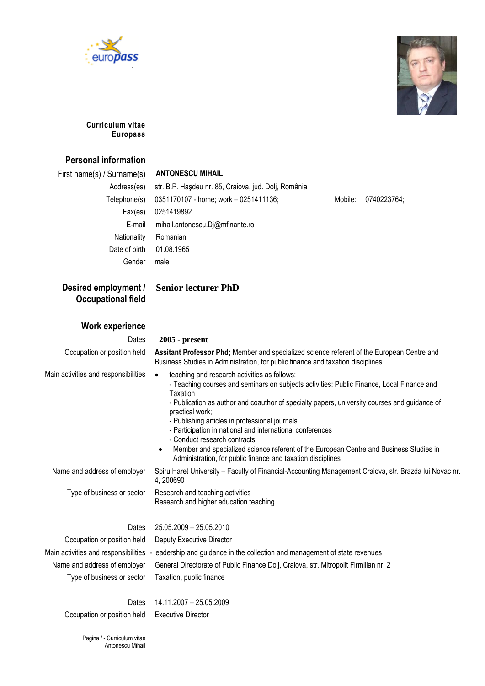



### **Curriculum vitae Europass**

### **Personal information**

### First name(s) / Surname(s) **ANTONESCU MIHAIL**

| Address(es)   | str. B.P. Haşdeu nr. 85, Craiova, jud. Dolj, România |         |             |
|---------------|------------------------------------------------------|---------|-------------|
| Telephone(s)  | 0351170107 - home; work - 0251411136;                | Mobile: | 0740223764; |
| Fax(es)       | 0251419892                                           |         |             |
| E-mail        | mihail.antonescu.Dj@mfinante.ro                      |         |             |
| Nationality   | Romanian                                             |         |             |
| Date of birth | 01.08.1965                                           |         |             |
| Gender        | male                                                 |         |             |
|               |                                                      |         |             |

## **Desired employment / Occupational field**

## **Senior lecturer PhD**

### **Work experience**

### Dates **2005 - present**

Occupation or position held **Assitant Professor Phd;** Member and specialized science referent of the European Centre and

- Main activities and responsibilities  $\bullet$  teaching and research activities as follows:
	- Teaching courses and seminars on subjects activities: Public Finance, Local Finance and **Taxation**

- Publication as author and coauthor of specialty papers, university courses and guidance of practical work;

- Publishing articles in professional journals
- Participation in national and international conferences

Business Studies in Administration, for public finance and taxation disciplines

- Conduct research contracts
- Member and specialized science referent of the European Centre and Business Studies in Administration, for public finance and taxation disciplines

Name and address of employer Spiru Haret University – Faculty of Financial-Accounting Management Craiova, str. Brazda lui Novac nr.

Type of business or sector Research and teaching activities Research and higher education teaching

Dates 25.05.2009 – 25.05.2010

4, 200690

Occupation or position held Deputy Executive Director Type of business or sector Taxation, public finance

Main activities and responsibilities - leadership and guidance in the collection and management of state revenues Name and address of employer General Directorate of Public Finance Dolj, Craiova, str. Mitropolit Firmilian nr. 2

### Dates 14.11.2007 – 25.05.2009 Occupation or position held Executive Director

Pagina / - Curriculum vitae Antonescu Mihail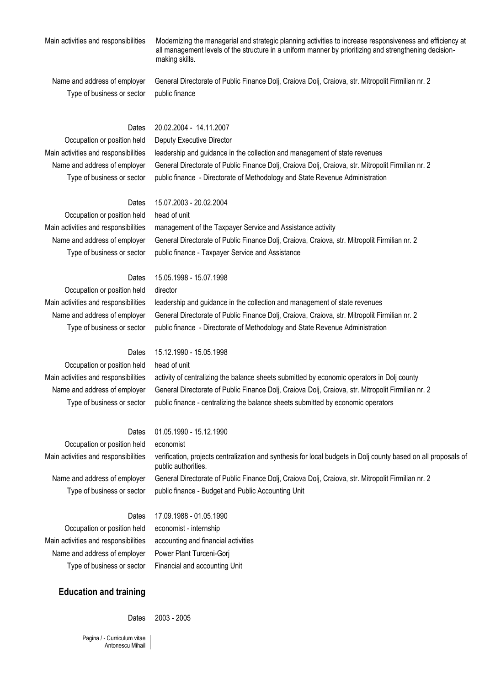Main activities and responsibilities Modernizing the managerial and strategic planning activities to increase responsiveness and efficiency at all management levels of the structure in a uniform manner by prioritizing and strengthening decisionmaking skills.

Type of business or sector public finance

Name and address of employer General Directorate of Public Finance Dolj, Craiova Dolj, Craiova, str. Mitropolit Firmilian nr. 2

### Dates 20.02.2004 - 14.11.2007

### Occupation or position held Deputy Executive Director

Main activities and responsibilities leadership and guidance in the collection and management of state revenues Name and address of employer General Directorate of Public Finance Dolj, Craiova Dolj, Craiova, str. Mitropolit Firmilian nr. 2 Type of business or sector public finance - Directorate of Methodology and State Revenue Administration

Dates 15.07.2003 - 20.02.2004

Occupation or position held head of unit Main activities and responsibilities management of the Taxpayer Service and Assistance activity Name and address of employer General Directorate of Public Finance Dolj, Craiova, Craiova, str. Mitropolit Firmilian nr. 2 Type of business or sector public finance - Taxpayer Service and Assistance

### Dates 15.05.1998 - 15.07.1998

Occupation or position held director

Main activities and responsibilities leadership and guidance in the collection and management of state revenues Name and address of employer General Directorate of Public Finance Dolj, Craiova, Craiova, str. Mitropolit Firmilian nr. 2 Type of business or sector public finance - Directorate of Methodology and State Revenue Administration

Occupation or position held head of unit

Dates 15.12.1990 - 15.05.1998 Main activities and responsibilities activity of centralizing the balance sheets submitted by economic operators in Dolj county Name and address of employer General Directorate of Public Finance Dolj, Craiova Dolj, Craiova, str. Mitropolit Firmilian nr. 2 Type of business or sector public finance - centralizing the balance sheets submitted by economic operators

### Dates 01.05.1990 - 15.12.1990

Occupation or position held economist

Type of business or sector public finance - Budget and Public Accounting Unit

Main activities and responsibilities verification, projects centralization and synthesis for local budgets in Dolj county based on all proposals of public authorities. Name and address of employer General Directorate of Public Finance Dolj, Craiova Dolj, Craiova, str. Mitropolit Firmilian nr. 2

Occupation or position held economist - internship Main activities and responsibilities accounting and financial activities Name and address of employer Power Plant Turceni-Gorj Type of business or sector Financial and accounting Unit

Dates 17.09.1988 - 01.05.1990

### **Education and training**

Dates 2003 - 2005

Pagina / - Curriculum vitae Antonescu Mihail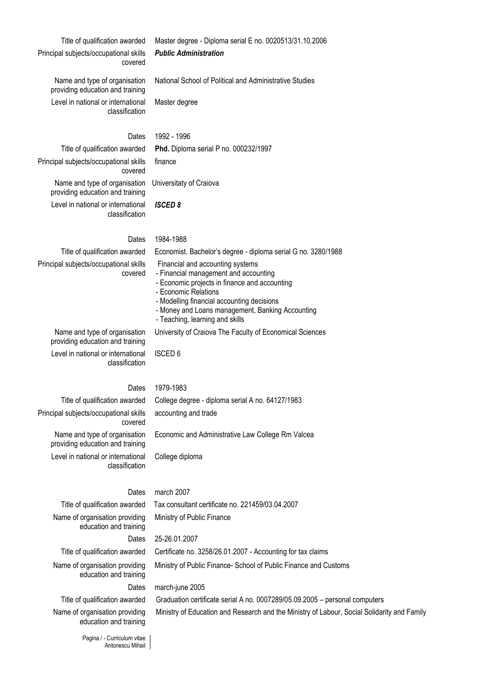Principal subjects/occupational skills covered

### Title of qualification awarded Master degree - Diploma serial E no. 0020513/31.10.2006 *Public Administration*

National School of Political and Administrative Studies

providing education and training Level in national or international classification

Name and type of organisation

Master degree

### Dates 1992 - 1996

Title of qualification awarded **Phd.** Diploma serial P no. 000232/1997 finance Universitaty of Craiova

Principal subjects/occupational skills covered Name and type of organisation providing education and training Level in national or international classification

# *ISCED 8*

### Dates 1984-1988

Title of qualification awarded Economist. Bachelor's degree - diploma serial G no. 3280/1988 Principal subjects/occupational skills covered Financial and accounting systems - Financial management and accounting - Economic projects in finance and accounting - Economic Relations - Modelling financial accounting decisions - Money and Loans management, Banking Accounting - Teaching, learning and skills Name and type of organisation providing education and training University of Craiova The Faculty of Economical Sciences Level in national or international classification ISCED 6

Principal subjects/occupational skills covered Name and type of organisation providing education and training Level in national or international classification

Title of qualification awarded College degree - diploma serial A no. 64127/1983 accounting and trade

Economic and Administrative Law College Rm Valcea

College diploma

### Dates march 2007

Title of qualification awarded Tax consultant certificate no. 221459/03.04.2007 Ministry of Public Finance

education and training Dates 25-26.01.2007 Title of qualification awarded Certificate no. 3258/26.01.2007 - Accounting for tax claims Name of organisation providing education and training

Name of organisation providing

Dates march-june 2005 Title of qualification awarded Graduation certificate serial A no. 0007289/05.09.2005 – personal computers Name of organisation providing Ministry of Education and Research and the Ministry of Labour, Social Solidarity and Family

Ministry of Public Finance- School of Public Finance and Customs

Pagina / - Curriculum vitae Antonescu Mihail

education and training

Dates 1979-1983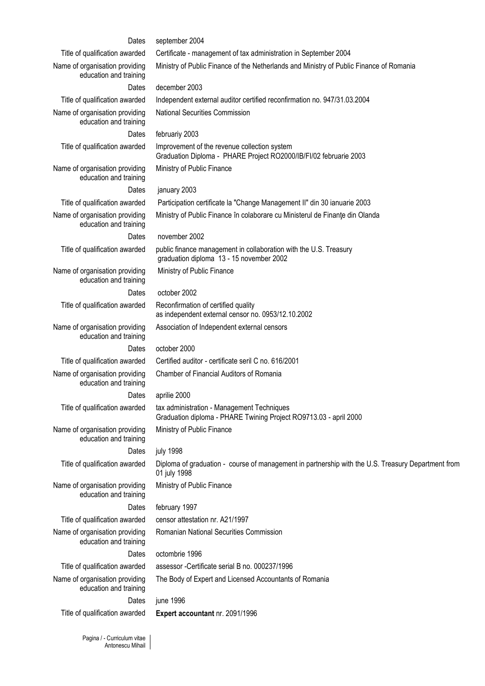| Dates                                                    | september 2004                                                                                                     |
|----------------------------------------------------------|--------------------------------------------------------------------------------------------------------------------|
| Title of qualification awarded                           | Certificate - management of tax administration in September 2004                                                   |
| Name of organisation providing<br>education and training | Ministry of Public Finance of the Netherlands and Ministry of Public Finance of Romania                            |
| Dates                                                    | december 2003                                                                                                      |
| Title of qualification awarded                           | Independent external auditor certified reconfirmation no. 947/31.03.2004                                           |
| Name of organisation providing<br>education and training | National Securities Commission                                                                                     |
| Dates                                                    | februariy 2003                                                                                                     |
| Title of qualification awarded                           | Improvement of the revenue collection system<br>Graduation Diploma - PHARE Project RO2000/IB/FI/02 februarie 2003  |
| Name of organisation providing<br>education and training | Ministry of Public Finance                                                                                         |
| Dates                                                    | january 2003                                                                                                       |
| Title of qualification awarded                           | Participation certificate la "Change Management II" din 30 ianuarie 2003                                           |
| Name of organisation providing<br>education and training | Ministry of Public Finance în colaborare cu Ministerul de Finante din Olanda                                       |
| Dates                                                    | november 2002                                                                                                      |
| Title of qualification awarded                           | public finance management in collaboration with the U.S. Treasury<br>graduation diploma 13 - 15 november 2002      |
| Name of organisation providing<br>education and training | Ministry of Public Finance                                                                                         |
| Dates                                                    | october 2002                                                                                                       |
| Title of qualification awarded                           | Reconfirmation of certified quality<br>as independent external censor no. 0953/12.10.2002                          |
| Name of organisation providing<br>education and training | Association of Independent external censors                                                                        |
| Dates                                                    | october 2000                                                                                                       |
| Title of qualification awarded                           | Certified auditor - certificate seril C no. 616/2001                                                               |
| Name of organisation providing<br>education and training | Chamber of Financial Auditors of Romania                                                                           |
| Dates                                                    | aprilie 2000                                                                                                       |
| Title of qualification awarded                           | tax administration - Management Techniques<br>Graduation diploma - PHARE Twining Project RO9713.03 - april 2000    |
| Name of organisation providing<br>education and training | Ministry of Public Finance                                                                                         |
| Dates                                                    | july 1998                                                                                                          |
| Title of qualification awarded                           | Diploma of graduation - course of management in partnership with the U.S. Treasury Department from<br>01 july 1998 |
| Name of organisation providing<br>education and training | Ministry of Public Finance                                                                                         |
| Dates                                                    | february 1997                                                                                                      |
| Title of qualification awarded                           | censor attestation nr. A21/1997                                                                                    |
| Name of organisation providing<br>education and training | Romanian National Securities Commission                                                                            |
| Dates                                                    | octombrie 1996                                                                                                     |
| Title of qualification awarded                           | assessor - Certificate serial B no. 000237/1996                                                                    |
| Name of organisation providing<br>education and training | The Body of Expert and Licensed Accountants of Romania                                                             |
| Dates                                                    | june 1996                                                                                                          |
| Title of qualification awarded                           | Expert accountant nr. 2091/1996                                                                                    |

Pagina / - Curriculum vitae Antonescu Mihail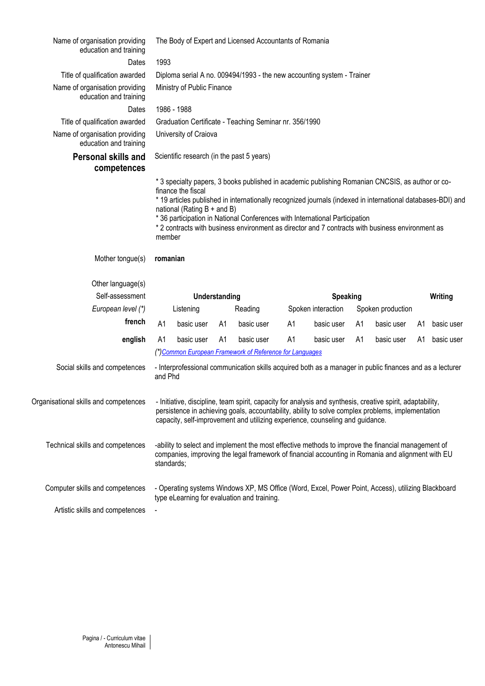| Name of organisation providing<br>education and training |            |                                                     |                | The Body of Expert and Licensed Accountants of Romania                                                                                                                                                                                                                                                                                                                                             |    |                    |    |                   |         |            |
|----------------------------------------------------------|------------|-----------------------------------------------------|----------------|----------------------------------------------------------------------------------------------------------------------------------------------------------------------------------------------------------------------------------------------------------------------------------------------------------------------------------------------------------------------------------------------------|----|--------------------|----|-------------------|---------|------------|
| Dates                                                    | 1993       |                                                     |                |                                                                                                                                                                                                                                                                                                                                                                                                    |    |                    |    |                   |         |            |
| Title of qualification awarded                           |            |                                                     |                | Diploma serial A no. 009494/1993 - the new accounting system - Trainer                                                                                                                                                                                                                                                                                                                             |    |                    |    |                   |         |            |
| Name of organisation providing<br>education and training |            | Ministry of Public Finance                          |                |                                                                                                                                                                                                                                                                                                                                                                                                    |    |                    |    |                   |         |            |
| Dates                                                    |            | 1986 - 1988                                         |                |                                                                                                                                                                                                                                                                                                                                                                                                    |    |                    |    |                   |         |            |
| Title of qualification awarded                           |            |                                                     |                | Graduation Certificate - Teaching Seminar nr. 356/1990                                                                                                                                                                                                                                                                                                                                             |    |                    |    |                   |         |            |
| Name of organisation providing<br>education and training |            | University of Craiova                               |                |                                                                                                                                                                                                                                                                                                                                                                                                    |    |                    |    |                   |         |            |
| <b>Personal skills and</b><br>competences                |            |                                                     |                | Scientific research (in the past 5 years)                                                                                                                                                                                                                                                                                                                                                          |    |                    |    |                   |         |            |
|                                                          | member     | finance the fiscal<br>national (Rating $B +$ and B) |                | * 3 specialty papers, 3 books published in academic publishing Romanian CNCSIS, as author or co-<br>* 19 articles published in internationally recognized journals (indexed in international databases-BDI) and<br>* 36 participation in National Conferences with International Participation<br>* 2 contracts with business environment as director and 7 contracts with business environment as |    |                    |    |                   |         |            |
| Mother tongue(s)                                         | romanian   |                                                     |                |                                                                                                                                                                                                                                                                                                                                                                                                    |    |                    |    |                   |         |            |
| Other language(s)                                        |            |                                                     |                |                                                                                                                                                                                                                                                                                                                                                                                                    |    |                    |    |                   |         |            |
| Self-assessment                                          |            |                                                     | Understanding  |                                                                                                                                                                                                                                                                                                                                                                                                    |    | <b>Speaking</b>    |    |                   | Writing |            |
| European level (*)                                       |            | Listening                                           |                | Reading                                                                                                                                                                                                                                                                                                                                                                                            |    | Spoken interaction |    | Spoken production |         |            |
| french                                                   | A1         | basic user                                          | A1             | basic user                                                                                                                                                                                                                                                                                                                                                                                         | A1 | basic user         | A1 | basic user        | A1      | basic user |
| english                                                  | A1         | basic user                                          | A <sub>1</sub> | basic user                                                                                                                                                                                                                                                                                                                                                                                         | A1 | basic user         | A1 | basic user        | A1      | basic user |
|                                                          |            |                                                     |                | (*) Common European Framework of Reference for Languages                                                                                                                                                                                                                                                                                                                                           |    |                    |    |                   |         |            |
| Social skills and competences                            | and Phd    |                                                     |                | - Interprofessional communication skills acquired both as a manager in public finances and as a lecturer                                                                                                                                                                                                                                                                                           |    |                    |    |                   |         |            |
| Organisational skills and competences                    |            |                                                     |                | - Initiative, discipline, team spirit, capacity for analysis and synthesis, creative spirit, adaptability,<br>persistence in achieving goals, accountability, ability to solve complex problems, implementation<br>capacity, self-improvement and utilizing experience, counseling and guidance.                                                                                                   |    |                    |    |                   |         |            |
| Technical skills and competences                         | standards; |                                                     |                | -ability to select and implement the most effective methods to improve the financial management of<br>companies, improving the legal framework of financial accounting in Romania and alignment with EU                                                                                                                                                                                            |    |                    |    |                   |         |            |
| Computer skills and competences                          |            |                                                     |                | - Operating systems Windows XP, MS Office (Word, Excel, Power Point, Access), utilizing Blackboard<br>type eLearning for evaluation and training.                                                                                                                                                                                                                                                  |    |                    |    |                   |         |            |
| Artistic skills and competences                          |            |                                                     |                |                                                                                                                                                                                                                                                                                                                                                                                                    |    |                    |    |                   |         |            |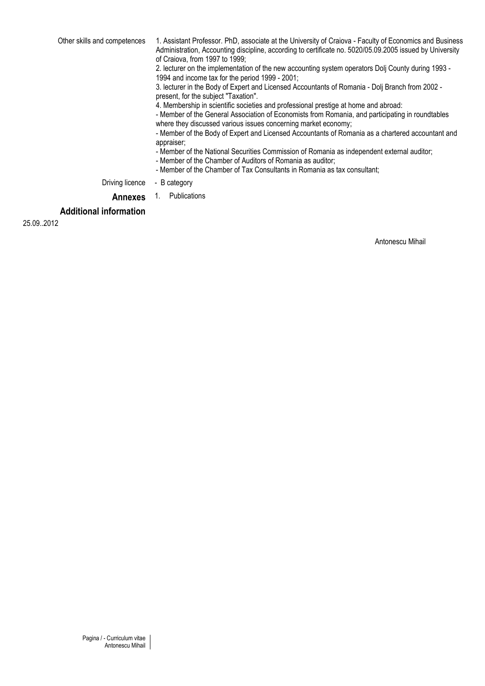Other skills and competences 1. Assistant Professor. PhD, associate at the University of Craiova - Faculty of Economics and Business Administration, Accounting discipline, according to certificate no. 5020/05.09.2005 issued by University of Craiova, from 1997 to 1999;

2. lecturer on the implementation of the new accounting system operators Dolj County during 1993 - 1994 and income tax for the period 1999 - 2001;

3. lecturer in the Body of Expert and Licensed Accountants of Romania - Dolj Branch from 2002 present, for the subject "Taxation".

4. Membership in scientific societies and professional prestige at home and abroad:

- Member of the General Association of Economists from Romania, and participating in roundtables where they discussed various issues concerning market economy;

- Member of the Body of Expert and Licensed Accountants of Romania as a chartered accountant and appraiser;

- Member of the National Securities Commission of Romania as independent external auditor;

- Member of the Chamber of Auditors of Romania as auditor;
- Member of the Chamber of Tax Consultants in Romania as tax consultant;

Driving licence - B category

### **Annexes** 1. Publications

### **Additional information**

25.09.2012

Antonescu Mihail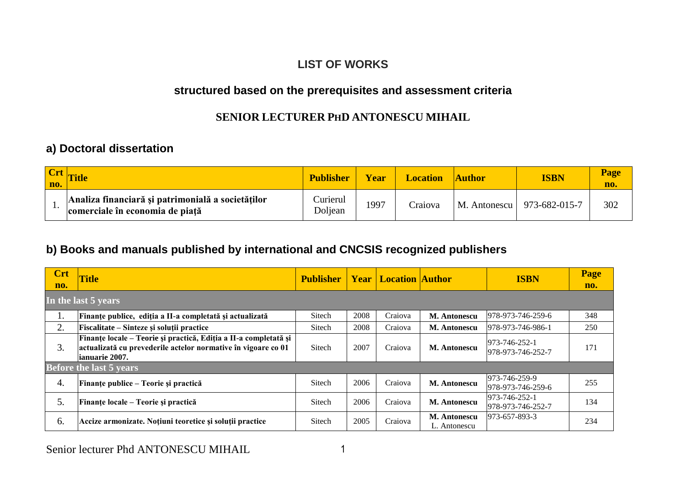# **LIST OF WORKS**

# **structured based on the prerequisites and assessment criteria**

## **SENIOR LECTURER PHD ANTONESCU MIHAIL**

# **a) Doctoral dissertation**

| $ $ Crt $ $<br>no. | <b>Title</b>                                                                         | <b>Publisher</b>    | Year | <b>Location</b> | <b>Author</b> | <b>ISBN</b>   | <b>Page</b><br>no. |
|--------------------|--------------------------------------------------------------------------------------|---------------------|------|-----------------|---------------|---------------|--------------------|
|                    | Analiza financiară și patrimonială a societăților<br>comerciale în economia de piață | Curierul<br>Doljean | 1997 | Craiova         | M. Antonescu  | 973-682-015-7 | 302                |

# **b) Books and manuals published by international and CNCSIS recognized publishers**

| <b>Crt</b><br>no. | <b>Title</b>                                                                                                                                         | <b>Publisher</b> |      | <b>Year   Location   Author</b> |                              | <b>ISBN</b>                        | Page<br>no. |
|-------------------|------------------------------------------------------------------------------------------------------------------------------------------------------|------------------|------|---------------------------------|------------------------------|------------------------------------|-------------|
|                   | In the last 5 years                                                                                                                                  |                  |      |                                 |                              |                                    |             |
| ı.                | Finanțe publice, ediția a II-a completată și actualizată                                                                                             | Sitech           | 2008 | Craiova                         | <b>M. Antonescu</b>          | 978-973-746-259-6                  | 348         |
| 2.                | Fiscalitate – Sinteze și soluții practice                                                                                                            | Sitech           | 2008 | Craiova                         | M. Antonescu                 | 978-973-746-986-1                  | 250         |
| 3.                | Finanțe locale – Teorie și practică, Ediția a II-a completată și<br>actualizată cu prevederile actelor normative în vigoare co 01<br>lianuarie 2007. | Sitech           | 2007 | Craiova                         | <b>M. Antonescu</b>          | 973-746-252-1<br>978-973-746-252-7 | 171         |
|                   | <b>Before the last 5 years</b>                                                                                                                       |                  |      |                                 |                              |                                    |             |
| 4.                | Finanțe publice – Teorie și practică                                                                                                                 | Sitech           | 2006 | Craiova                         | <b>M. Antonescu</b>          | 973-746-259-9<br>978-973-746-259-6 | 255         |
| 5.                | Finanțe locale – Teorie și practică                                                                                                                  | Sitech           | 2006 | Craiova                         | <b>M. Antonescu</b>          | 973-746-252-1<br>978-973-746-252-7 | 134         |
| 6.                | Accize armonizate. Noțiuni teoretice și soluții practice                                                                                             | Sitech           | 2005 | Craiova                         | M. Antonescu<br>L. Antonescu | 973-657-893-3                      | 234         |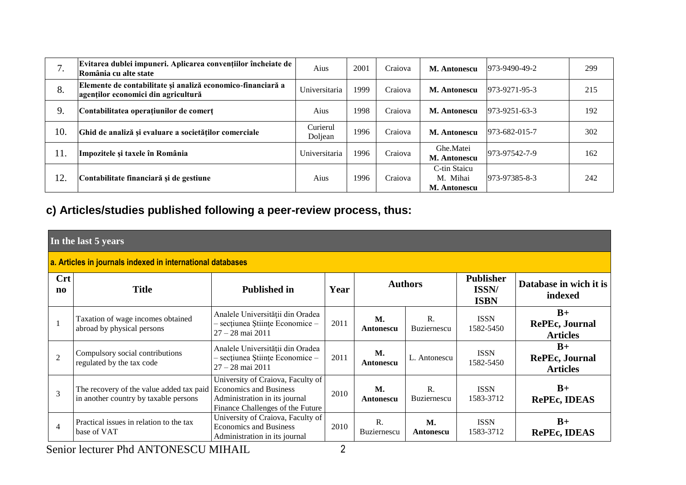| $\prime$ . | Evitarea dublei impuneri. Aplicarea convențiilor încheiate de<br>România cu alte state             | Aius                | 2001 | Craiova | M. Antonescu                                    | 973-9490-49-2         | 299 |
|------------|----------------------------------------------------------------------------------------------------|---------------------|------|---------|-------------------------------------------------|-----------------------|-----|
| 8.         | Elemente de contabilitate și analiză economico-financiară a<br>agenților economici din agricultură | Universitaria       | 1999 | Craiova | M. Antonescu                                    | 973-9271-95-3         | 215 |
| 9.         | Contabilitatea operațiunilor de comerț                                                             | Aius                | 1998 | Craiova | M. Antonescu                                    | $973 - 9251 - 63 - 3$ | 192 |
| 10.        | Ghid de analiză și evaluare a societăților comerciale                                              | Curierul<br>Doljean | 1996 | Craiova | <b>M. Antonescu</b>                             | 973-682-015-7         | 302 |
| 11.        | Impozitele și taxele în România                                                                    | Universitaria       | 1996 | Craiova | Ghe.Matei<br><b>M. Antonescu</b>                | 973-97542-7-9         | 162 |
| 12.        | Contabilitate financiară și de gestiune                                                            | Aius                | 1996 | Craiova | C-tin Staicu<br>M. Mihai<br><b>M. Antonescu</b> | 973-97385-8-3         | 242 |

# **c) Articles/studies published following a peer-review process, thus:**

|                                                            | In the last 5 years                                                                                      |                                                                                                        |      |                               |                                      |                                          |                                                  |  |  |  |
|------------------------------------------------------------|----------------------------------------------------------------------------------------------------------|--------------------------------------------------------------------------------------------------------|------|-------------------------------|--------------------------------------|------------------------------------------|--------------------------------------------------|--|--|--|
| a. Articles in journals indexed in international databases |                                                                                                          |                                                                                                        |      |                               |                                      |                                          |                                                  |  |  |  |
| <b>Crt</b><br>$\mathbf{n}$                                 | <b>Title</b>                                                                                             | <b>Published in</b>                                                                                    | Year |                               | <b>Authors</b>                       | <b>Publisher</b><br>ISSN/<br><b>ISBN</b> | Database in wich it is<br>indexed                |  |  |  |
|                                                            | Taxation of wage incomes obtained<br>abroad by physical persons                                          | Analele Universității din Oradea<br>- secțiunea Științe Economice -<br>$27 - 28$ mai $2011$            | 2011 | M.<br>Antonescu               | $\mathbf{R}$ .<br><b>Buziernescu</b> | <b>ISSN</b><br>1582-5450                 | $B+$<br><b>RePEc, Journal</b><br><b>Articles</b> |  |  |  |
| $\overline{2}$                                             | Compulsory social contributions<br>regulated by the tax code                                             | Analele Universității din Oradea<br>- secțiunea Științe Economice -<br>$27 - 28$ mai 2011              | 2011 | <b>M.</b><br>Antonescu        | L. Antonescu                         | <b>ISSN</b><br>1582-5450                 | $B+$<br><b>RePEc, Journal</b><br><b>Articles</b> |  |  |  |
| 3                                                          | The recovery of the value added tax paid Economics and Business<br>in another country by taxable persons | University of Craiova, Faculty of<br>Administration in its journal<br>Finance Challenges of the Future | 2010 | <b>M.</b><br>Antonescu        | R.<br><b>Buziernescu</b>             | <b>ISSN</b><br>1583-3712                 | $B+$<br><b>RePEc, IDEAS</b>                      |  |  |  |
| $\overline{4}$                                             | Practical issues in relation to the tax<br>base of VAT                                                   | University of Craiova, Faculty of<br><b>Economics and Business</b><br>Administration in its journal    | 2010 | $\mathbf{R}$ .<br>Buziernescu | <b>M.</b><br>Antonescu               | <b>ISSN</b><br>1583-3712                 | $B+$<br><b>RePEc, IDEAS</b>                      |  |  |  |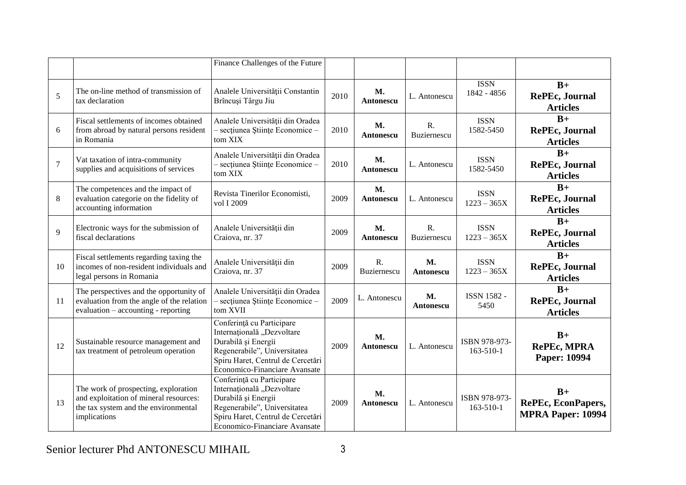|        |                                                                                                                                        | Finance Challenges of the Future                                                                                                                                                     |      |                        |                            |                                  |                                                        |
|--------|----------------------------------------------------------------------------------------------------------------------------------------|--------------------------------------------------------------------------------------------------------------------------------------------------------------------------------------|------|------------------------|----------------------------|----------------------------------|--------------------------------------------------------|
| 5      | The on-line method of transmission of<br>tax declaration                                                                               | Analele Universității Constantin<br>Brîncuşi Târgu Jiu                                                                                                                               | 2010 | M.<br>Antonescu        | L. Antonescu               | <b>ISSN</b><br>1842 - 4856       | $B+$<br><b>RePEc, Journal</b><br><b>Articles</b>       |
| 6      | Fiscal settlements of incomes obtained<br>from abroad by natural persons resident<br>in Romania                                        | Analele Universității din Oradea<br>- secțiunea Științe Economice -<br>tom XIX                                                                                                       | 2010 | <b>M.</b><br>Antonescu | $R_{\cdot}$<br>Buziernescu | <b>ISSN</b><br>1582-5450         | $B+$<br><b>RePEc, Journal</b><br><b>Articles</b>       |
| $\tau$ | Vat taxation of intra-community<br>supplies and acquisitions of services                                                               | Analele Universității din Oradea<br>- secțiunea Științe Economice -<br>tom XIX                                                                                                       | 2010 | <b>M.</b><br>Antonescu | L. Antonescu               | <b>ISSN</b><br>1582-5450         | $B+$<br><b>RePEc, Journal</b><br><b>Articles</b>       |
| 8      | The competences and the impact of<br>evaluation categorie on the fidelity of<br>accounting information                                 | Revista Tinerilor Economisti,<br>vol I 2009                                                                                                                                          | 2009 | M.<br>Antonescu        | L. Antonescu               | <b>ISSN</b><br>$1223 - 365X$     | $B+$<br><b>RePEc, Journal</b><br><b>Articles</b>       |
| 9      | Electronic ways for the submission of<br>fiscal declarations                                                                           | Analele Universității din<br>Craiova, nr. 37                                                                                                                                         | 2009 | M.<br>Antonescu        | R.<br>Buziernescu          | <b>ISSN</b><br>$1223 - 365X$     | $B+$<br><b>RePEc, Journal</b><br><b>Articles</b>       |
| 10     | Fiscal settlements regarding taxing the<br>incomes of non-resident individuals and<br>legal persons in Romania                         | Analele Universității din<br>Craiova, nr. 37                                                                                                                                         | 2009 | R.<br>Buziernescu      | M.<br>Antonescu            | <b>ISSN</b><br>$1223 - 365X$     | $B+$<br><b>RePEc, Journal</b><br><b>Articles</b>       |
| 11     | The perspectives and the opportunity of<br>evaluation from the angle of the relation<br>evaluation - accounting - reporting            | Analele Universității din Oradea<br>- secțiunea Științe Economice -<br>tom XVII                                                                                                      | 2009 | L. Antonescu           | <b>M.</b><br>Antonescu     | ISSN 1582 -<br>5450              | $B+$<br><b>RePEc, Journal</b><br><b>Articles</b>       |
| 12     | Sustainable resource management and<br>tax treatment of petroleum operation                                                            | Conferință cu Participare<br>Internațională "Dezvoltare<br>Durabilă și Energii<br>Regenerabile", Universitatea<br>Spiru Haret, Centrul de Cercetări<br>Economico-Financiare Avansate | 2009 | M.<br>Antonescu        | L. Antonescu               | ISBN 978-973-<br>$163 - 510 - 1$ | $B+$<br><b>RePEc, MPRA</b><br>Paper: 10994             |
| 13     | The work of prospecting, exploration<br>and exploitation of mineral resources:<br>the tax system and the environmental<br>implications | Conferință cu Participare<br>Internațională "Dezvoltare<br>Durabilă și Energii<br>Regenerabile", Universitatea<br>Spiru Haret, Centrul de Cercetări<br>Economico-Financiare Avansate | 2009 | M.<br>Antonescu        | L. Antonescu               | ISBN 978-973-<br>163-510-1       | $B+$<br>RePEc, EconPapers,<br><b>MPRA Paper: 10994</b> |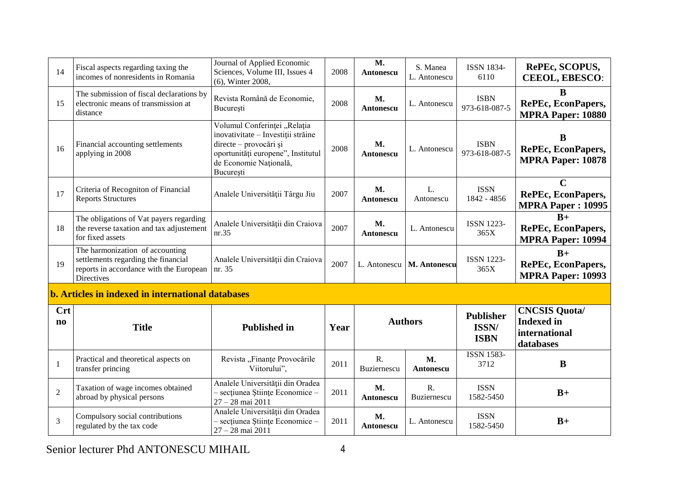| 14                                   | Fiscal aspects regarding taxing the<br>incomes of nonresidents in Romania                                                       | Journal of Applied Economic<br>Sciences, Volume III, Issues 4<br>(6), Winter 2008,                                                                                        | 2008 | M.<br>Antonescu               | S. Manea<br>L. Antonescu | <b>ISSN 1834-</b><br>6110                | RePEc, SCOPUS,<br><b>CEEOL, EBESCO:</b>                                 |
|--------------------------------------|---------------------------------------------------------------------------------------------------------------------------------|---------------------------------------------------------------------------------------------------------------------------------------------------------------------------|------|-------------------------------|--------------------------|------------------------------------------|-------------------------------------------------------------------------|
| 15                                   | The submission of fiscal declarations by<br>electronic means of transmission at<br>distance                                     | Revista Română de Economie,<br>București                                                                                                                                  | 2008 | <b>M.</b><br><b>Antonescu</b> | L. Antonescu             | <b>ISBN</b><br>973-618-087-5             | B<br><b>RePEc, EconPapers,</b><br><b>MPRA Paper: 10880</b>              |
| 16                                   | Financial accounting settlements<br>applying in 2008                                                                            | Volumul Conferinței "Relația<br>inovativitate - Investiții străine<br>directe - provocări și<br>oportunități europene", Institutul<br>de Economie Națională,<br>București | 2008 | <b>M.</b><br>Antonescu        | L. Antonescu             | <b>ISBN</b><br>973-618-087-5             | B<br><b>RePEc, EconPapers,</b><br><b>MPRA Paper: 10878</b>              |
| 17                                   | Criteria of Recogniton of Financial<br><b>Reports Structures</b>                                                                | Analele Universității Târgu Jiu                                                                                                                                           | 2007 | <b>M.</b><br>Antonescu        | L.<br>Antonescu          | <b>ISSN</b><br>1842 - 4856               | $\mathbf C$<br>RePEc, EconPapers,<br><b>MPRA Paper: 10995</b>           |
| 18                                   | The obligations of Vat payers regarding<br>the reverse taxation and tax adjustement<br>for fixed assets                         | Analele Universității din Craiova<br>nr.35                                                                                                                                | 2007 | <b>M.</b><br>Antonescu        | L. Antonescu             | <b>ISSN 1223-</b><br>365X                | $B+$<br>RePEc, EconPapers,<br><b>MPRA Paper: 10994</b>                  |
| 19                                   | The harmonization of accounting<br>settlements regarding the financial<br>reports in accordance with the European<br>Directives | Analele Universității din Craiova<br>nr. 35                                                                                                                               | 2007 | L. Antonescu                  | M. Antonescu             | <b>ISSN 1223-</b><br>365X                | $B+$<br>RePEc, EconPapers,<br><b>MPRA Paper: 10993</b>                  |
|                                      | b. Articles in indexed in international databases                                                                               |                                                                                                                                                                           |      |                               |                          |                                          |                                                                         |
| <b>Crt</b><br>$\mathbf{n}\mathbf{o}$ | <b>Title</b>                                                                                                                    | <b>Published in</b>                                                                                                                                                       | Year |                               | <b>Authors</b>           | <b>Publisher</b><br>ISSN/<br><b>ISBN</b> | <b>CNCSIS Quota/</b><br><b>Indexed</b> in<br>international<br>databases |
| 1                                    | Practical and theoretical aspects on<br>transfer princing                                                                       | Revista "Finanțe Provocările<br>Viitorului",                                                                                                                              | 2011 | $R_{\cdot}$<br>Buziernescu    | <b>M.</b><br>Antonescu   | <b>ISSN 1583-</b><br>3712                | B                                                                       |
| $\overline{2}$                       | Taxation of wage incomes obtained<br>abroad by physical persons                                                                 | Analele Universității din Oradea<br>- secțiunea Științe Economice -<br>27 - 28 mai 2011                                                                                   | 2011 | <b>M.</b><br><b>Antonescu</b> | R.<br>Buziernescu        | <b>ISSN</b><br>1582-5450                 | $B+$                                                                    |
| 3                                    | Compulsory social contributions<br>regulated by the tax code                                                                    | Analele Universității din Oradea<br>- secțiunea Științe Economice -<br>$27 - 28$ mai $2011$                                                                               | 2011 | M.<br>Antonescu               | L. Antonescu             | <b>ISSN</b><br>1582-5450                 | $B+$                                                                    |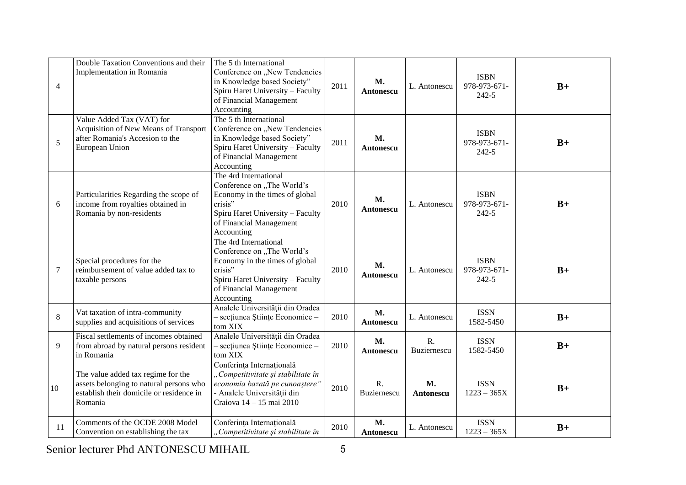| $\overline{4}$ | Double Taxation Conventions and their<br>Implementation in Romania                                                                   | The 5 th International<br>Conference on "New Tendencies<br>in Knowledge based Society"<br>Spiru Haret University - Faculty<br>of Financial Management<br>Accounting           | 2011 | <b>M.</b><br>Antonescu        | L. Antonescu           | <b>ISBN</b><br>978-973-671-<br>242-5     | $B+$ |
|----------------|--------------------------------------------------------------------------------------------------------------------------------------|-------------------------------------------------------------------------------------------------------------------------------------------------------------------------------|------|-------------------------------|------------------------|------------------------------------------|------|
| 5              | Value Added Tax (VAT) for<br>Acquisition of New Means of Transport<br>after Romania's Accesion to the<br>European Union              | The 5 th International<br>Conference on "New Tendencies<br>in Knowledge based Society"<br>Spiru Haret University - Faculty<br>of Financial Management<br>Accounting           | 2011 | <b>M.</b><br><b>Antonescu</b> |                        | <b>ISBN</b><br>978-973-671-<br>242-5     | $B+$ |
| 6              | Particularities Regarding the scope of<br>income from royalties obtained in<br>Romania by non-residents                              | The 4rd International<br>Conference on "The World's<br>Economy in the times of global<br>crisis"<br>Spiru Haret University - Faculty<br>of Financial Management<br>Accounting | 2010 | М.<br>Antonescu               | L. Antonescu           | <b>ISBN</b><br>978-973-671-<br>242-5     | $B+$ |
| $\tau$         | Special procedures for the<br>reimbursement of value added tax to<br>taxable persons                                                 | The 4rd International<br>Conference on "The World's<br>Economy in the times of global<br>crisis"<br>Spiru Haret University - Faculty<br>of Financial Management<br>Accounting | 2010 | M.<br>Antonescu               | L. Antonescu           | <b>ISBN</b><br>978-973-671-<br>$242 - 5$ | $B+$ |
| 8              | Vat taxation of intra-community<br>supplies and acquisitions of services                                                             | Analele Universității din Oradea<br>- secțiunea Științe Economice -<br>tom XIX                                                                                                | 2010 | M.<br><b>Antonescu</b>        | L. Antonescu           | <b>ISSN</b><br>1582-5450                 | $B+$ |
| 9              | Fiscal settlements of incomes obtained<br>from abroad by natural persons resident<br>in Romania                                      | Analele Universității din Oradea<br>- secțiunea Științe Economice -<br>tom XIX                                                                                                | 2010 | <b>M.</b><br><b>Antonescu</b> | R.<br>Buziernescu      | <b>ISSN</b><br>1582-5450                 | $B+$ |
| 10             | The value added tax regime for the<br>assets belonging to natural persons who<br>establish their domicile or residence in<br>Romania | Conferința Internațională<br>"Competitivitate și stabilitate în<br>economia bazată pe cunoaștere"<br>- Analele Universității din<br>Craiova 14 - 15 mai 2010                  | 2010 | R.<br>Buziernescu             | <b>M.</b><br>Antonescu | <b>ISSN</b><br>$1223 - 365X$             | $B+$ |
| 11             | Comments of the OCDE 2008 Model<br>Convention on establishing the tax                                                                | Conferința Internațională<br>"Competitivitate și stabilitate în                                                                                                               | 2010 | M.<br>Antonescu               | L. Antonescu           | <b>ISSN</b><br>$1223 - 365X$             | $B+$ |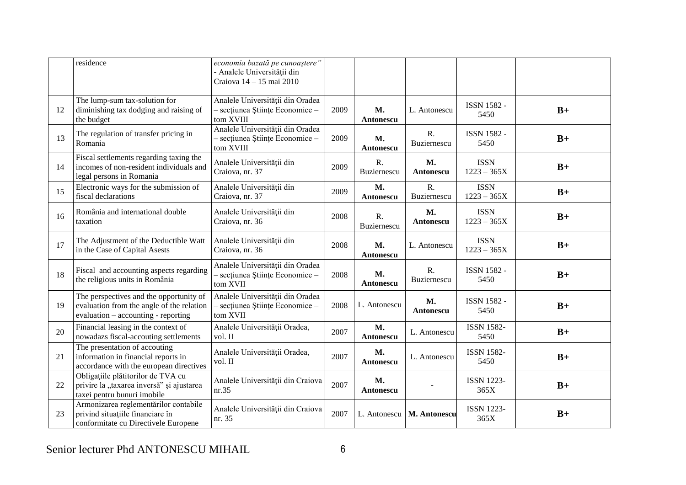|    | residence                                                                                                                   | economia bazată pe cunoaștere"<br>- Analele Universității din<br>Craiova 14 - 15 mai 2010 |      |                               |                            |                              |      |
|----|-----------------------------------------------------------------------------------------------------------------------------|-------------------------------------------------------------------------------------------|------|-------------------------------|----------------------------|------------------------------|------|
| 12 | The lump-sum tax-solution for<br>diminishing tax dodging and raising of<br>the budget                                       | Analele Universității din Oradea<br>- secțiunea Științe Economice -<br>tom XVIII          | 2009 | <b>M.</b><br>Antonescu        | L. Antonescu               | <b>ISSN 1582 -</b><br>5450   | $B+$ |
| 13 | The regulation of transfer pricing in<br>Romania                                                                            | Analele Universității din Oradea<br>- secțiunea Științe Economice -<br>tom XVIII          | 2009 | <b>M.</b><br>Antonescu        | R.<br><b>Buziernescu</b>   | ISSN 1582 -<br>5450          | $B+$ |
| 14 | Fiscal settlements regarding taxing the<br>incomes of non-resident individuals and<br>legal persons in Romania              | Analele Universității din<br>Craiova, nr. 37                                              | 2009 | R.<br><b>Buziernescu</b>      | M.<br><b>Antonescu</b>     | <b>ISSN</b><br>$1223 - 365X$ | $B+$ |
| 15 | Electronic ways for the submission of<br>fiscal declarations                                                                | Analele Universității din<br>Craiova, nr. 37                                              | 2009 | <b>M.</b><br>Antonescu        | $R_{\cdot}$<br>Buziernescu | <b>ISSN</b><br>$1223 - 365X$ | $B+$ |
| 16 | România and international double<br>taxation                                                                                | Analele Universității din<br>Craiova, nr. 36                                              | 2008 | R.<br>Buziernescu             | <b>M.</b><br>Antonescu     | <b>ISSN</b><br>$1223 - 365X$ | $B+$ |
| 17 | The Adjustment of the Deductible Watt<br>in the Case of Capital Asests                                                      | Analele Universității din<br>Craiova, nr. 36                                              | 2008 | <b>M.</b><br>Antonescu        | L. Antonescu               | <b>ISSN</b><br>$1223 - 365X$ | $B+$ |
| 18 | Fiscal and accounting aspects regarding<br>the religious units in România                                                   | Analele Universității din Oradea<br>- secțiunea Științe Economice -<br>tom XVII           | 2008 | <b>M.</b><br>Antonescu        | R.<br><b>Buziernescu</b>   | <b>ISSN 1582 -</b><br>5450   | $B+$ |
| 19 | The perspectives and the opportunity of<br>evaluation from the angle of the relation<br>evaluation – accounting - reporting | Analele Universității din Oradea<br>- secțiunea Științe Economice -<br>tom XVII           | 2008 | L. Antonescu                  | M.<br>Antonescu            | ISSN 1582 -<br>5450          | $B+$ |
| 20 | Financial leasing in the context of<br>nowadazs fiscal-accouting settlements                                                | Analele Universității Oradea,<br>vol. II                                                  | 2007 | <b>M.</b><br>Antonescu        | L. Antonescu               | <b>ISSN 1582-</b><br>5450    | $B+$ |
| 21 | The presentation of accouting<br>information in financial reports in<br>accordance with the european directives             | Analele Universității Oradea,<br>vol. II                                                  | 2007 | <b>M.</b><br><b>Antonescu</b> | L. Antonescu               | <b>ISSN 1582-</b><br>5450    | $B+$ |
| 22 | Obligațiile plătitorilor de TVA cu<br>privire la "taxarea inversă" și ajustarea<br>taxei pentru bunuri imobile              | Analele Universității din Craiova<br>nr.35                                                | 2007 | <b>M.</b><br>Antonescu        |                            | <b>ISSN 1223-</b><br>365X    | $B+$ |
| 23 | Armonizarea reglementărilor contabile<br>privind situațiile financiare în<br>conformitate cu Directivele Europene           | Analele Universității din Craiova<br>nr. 35                                               | 2007 | L. Antonescu                  | M. Antonescu               | <b>ISSN 1223-</b><br>365X    | $B+$ |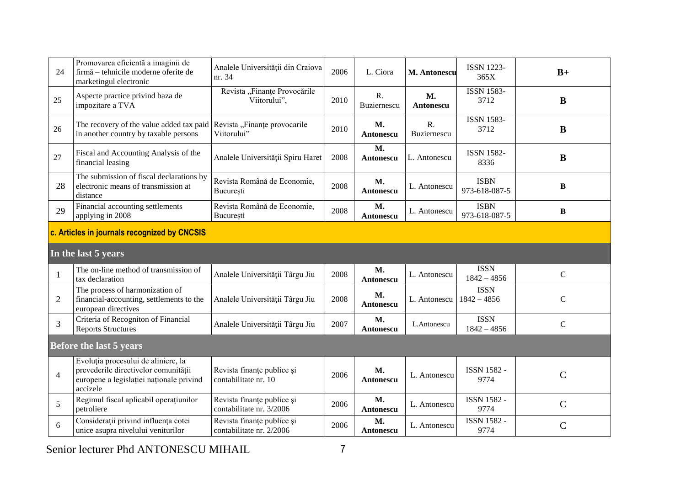| 24                                           | Promovarea eficientă a imaginii de<br>firmă – tehnicile moderne oferite de<br>marketingul electronic                                | Analele Universității din Craiova<br>nr. 34            | 2006 | L. Ciora                      | M. Antonescu               | <b>ISSN 1223-</b><br>365X    | $B+$          |  |  |
|----------------------------------------------|-------------------------------------------------------------------------------------------------------------------------------------|--------------------------------------------------------|------|-------------------------------|----------------------------|------------------------------|---------------|--|--|
| 25                                           | Aspecte practice privind baza de<br>impozitare a TVA                                                                                | Revista "Finanțe Provocările<br>Viitorului",           | 2010 | R.<br>Buziernescu             | M.<br>Antonescu            | <b>ISSN 1583-</b><br>3712    | B             |  |  |
| 26                                           | The recovery of the value added tax paid Revista "Finante provocarile<br>in another country by taxable persons                      | Viitorului"                                            | 2010 | <b>M.</b><br>Antonescu        | $R_{\cdot}$<br>Buziernescu | <b>ISSN 1583-</b><br>3712    | $\bf{B}$      |  |  |
| 27                                           | Fiscal and Accounting Analysis of the<br>financial leasing                                                                          | Analele Universității Spiru Haret                      | 2008 | M.<br>Antonescu               | L. Antonescu               | <b>ISSN 1582-</b><br>8336    | $\bf{B}$      |  |  |
| 28                                           | The submission of fiscal declarations by<br>electronic means of transmission at<br>distance                                         | Revista Română de Economie,<br>București               | 2008 | M.<br>Antonescu               | L. Antonescu               | <b>ISBN</b><br>973-618-087-5 | $\, {\bf B}$  |  |  |
| 29                                           | Financial accounting settlements<br>applying in 2008                                                                                | Revista Română de Economie,<br>București               | 2008 | М.<br>Antonescu               | L. Antonescu               | <b>ISBN</b><br>973-618-087-5 | $\bf{B}$      |  |  |
| c. Articles in journals recognized by CNCSIS |                                                                                                                                     |                                                        |      |                               |                            |                              |               |  |  |
|                                              | In the last 5 years                                                                                                                 |                                                        |      |                               |                            |                              |               |  |  |
| $\mathbf{1}$                                 | The on-line method of transmission of<br>tax declaration                                                                            | Analele Universității Târgu Jiu                        | 2008 | <b>M.</b><br>Antonescu        | L. Antonescu               | <b>ISSN</b><br>$1842 - 4856$ | $\mathbf C$   |  |  |
| $\overline{2}$                               | The process of harmonization of<br>financial-accounting, settlements to the<br>european directives                                  | Analele Universității Târgu Jiu                        | 2008 | M.<br>Antonescu               | L. Antonescu               | <b>ISSN</b><br>$1842 - 4856$ | $\mathbf C$   |  |  |
| 3                                            | Criteria of Recogniton of Financial<br><b>Reports Structures</b>                                                                    | Analele Universității Târgu Jiu                        | 2007 | M.<br>Antonescu               | L.Antonescu                | <b>ISSN</b><br>$1842 - 4856$ | $\mathsf{C}$  |  |  |
|                                              | <b>Before the last 5 years</b>                                                                                                      |                                                        |      |                               |                            |                              |               |  |  |
| $\overline{4}$                               | Evoluția procesului de aliniere, la<br>prevederile directivelor comunității<br>europene a legislației naționale privind<br>accizele | Revista finanțe publice și<br>contabilitate nr. 10     | 2006 | <b>M.</b><br><b>Antonescu</b> | L. Antonescu               | <b>ISSN 1582 -</b><br>9774   | $\mathcal{C}$ |  |  |
| 5                                            | Regimul fiscal aplicabil operațiunilor<br>petroliere                                                                                | Revista finanțe publice și<br>contabilitate nr. 3/2006 | 2006 | <b>M.</b><br>Antonescu        | L. Antonescu               | <b>ISSN 1582 -</b><br>9774   | $\mathbf C$   |  |  |
| 6                                            | Considerații privind influența cotei<br>unice asupra nivelului veniturilor                                                          | Revista finanțe publice și<br>contabilitate nr. 2/2006 | 2006 | M.<br>Antonescu               | L. Antonescu               | <b>ISSN 1582 -</b><br>9774   | $\mathcal{C}$ |  |  |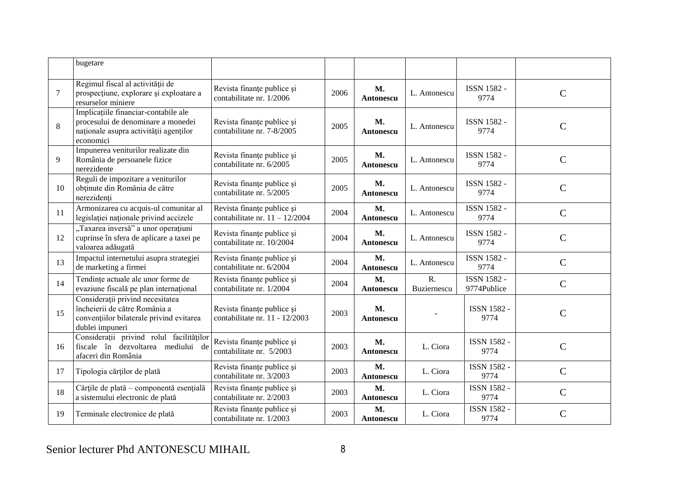|        | bugetare                                                                                                                          |                                                                |      |                               |                            |                                   |                |
|--------|-----------------------------------------------------------------------------------------------------------------------------------|----------------------------------------------------------------|------|-------------------------------|----------------------------|-----------------------------------|----------------|
| $\tau$ | Regimul fiscal al activității de<br>prospecțiune, explorare și exploatare a<br>resurselor miniere                                 | Revista finanțe publice și<br>contabilitate nr. 1/2006         | 2006 | M.<br>Antonescu               | L. Antonescu               | <b>ISSN 1582 -</b><br>9774        | $\mathcal{C}$  |
| 8      | Implicațiile financiar-contabile ale<br>procesului de denominare a monedei<br>naționale asupra activității agenților<br>economici | Revista finanțe publice și<br>contabilitate nr. 7-8/2005       | 2005 | <b>M.</b><br>Antonescu        | L. Antonescu               | <b>ISSN 1582 -</b><br>9774        | $\mathcal{C}$  |
| 9      | Impunerea veniturilor realizate din<br>România de persoanele fizice<br>nerezidente                                                | Revista finanțe publice și<br>contabilitate nr. 6/2005         | 2005 | М.<br>Antonescu               | L. Antonescu               | ISSN 1582 -<br>9774               | $\overline{C}$ |
| 10     | Reguli de impozitare a veniturilor<br>obținute din România de către<br>nerezidenți                                                | Revista finanțe publice și<br>contabilitate nr. 5/2005         | 2005 | M.<br><b>Antonescu</b>        | L. Antonescu               | <b>ISSN 1582 -</b><br>9774        | $\overline{C}$ |
| 11     | Armonizarea cu acquis-ul comunitar al<br>legislatiei naționale privind accizele                                                   | Revista finanțe publice și<br>contabilitate nr. $11 - 12/2004$ | 2004 | M.<br><b>Antonescu</b>        | L. Antonescu               | <b>ISSN 1582 -</b><br>9774        | $\mathbf C$    |
| 12     | "Taxarea inversă" a unor operațiuni<br>cuprinse în sfera de aplicare a taxei pe<br>valoarea adăugată                              | Revista finanțe publice și<br>contabilitate nr. 10/2004        | 2004 | <b>M.</b><br>Antonescu        | L. Antonescu               | <b>ISSN 1582 -</b><br>9774        | $\mathcal{C}$  |
| 13     | Impactul internetului asupra strategiei<br>de marketing a firmei                                                                  | Revista finanțe publice și<br>contabilitate nr. 6/2004         | 2004 | <b>M.</b><br><b>Antonescu</b> | L. Antonescu               | <b>ISSN 1582 -</b><br>9774        | $\mathbf C$    |
| 14     | Tendințe actuale ale unor forme de<br>evaziune fiscală pe plan internațional                                                      | Revista finanțe publice și<br>contabilitate nr. 1/2004         | 2004 | <b>M.</b><br><b>Antonescu</b> | $R_{\cdot}$<br>Buziernescu | <b>ISSN 1582 -</b><br>9774Publice | $\mathbf C$    |
| 15     | Considerații privind necesitatea<br>încheierii de către România a<br>conventiilor bilaterale privind evitarea<br>dublei impuneri  | Revista finanțe publice și<br>contabilitate nr. 11 - 12/2003   | 2003 | <b>M.</b><br><b>Antonescu</b> |                            | <b>ISSN 1582 -</b><br>9774        | $\mathcal{C}$  |
| 16     | Considerații privind rolul facilităților<br>fiscale în dezvoltarea mediului de<br>afaceri din România                             | Revista finanțe publice și<br>contabilitate nr. 5/2003         | 2003 | М.<br>Antonescu               | L. Ciora                   | ISSN 1582 -<br>9774               | $\overline{C}$ |
| 17     | Tipologia cărților de plată                                                                                                       | Revista finanțe publice și<br>contabilitate nr. 3/2003         | 2003 | M.<br>Antonescu               | L. Ciora                   | ISSN 1582 -<br>9774               | $\mathcal{C}$  |
| 18     | Cărțile de plată - componentă esențială<br>a sistemului electronic de plată                                                       | Revista finanțe publice și<br>contabilitate nr. 2/2003         | 2003 | M.<br>Antonescu               | L. Ciora                   | ISSN 1582 -<br>9774               | $\mathcal{C}$  |
| 19     | Terminale electronice de plată                                                                                                    | Revista finanțe publice și<br>contabilitate nr. 1/2003         | 2003 | M.<br><b>Antonescu</b>        | L. Ciora                   | ISSN 1582 -<br>9774               | $\overline{C}$ |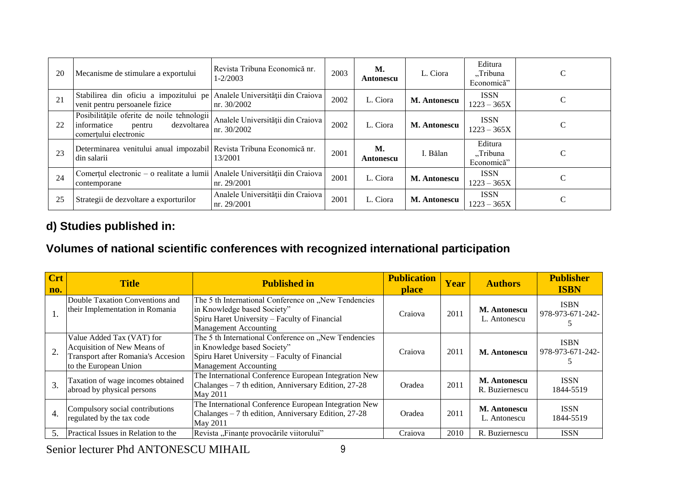| 20 | Mecanisme de stimulare a exportului                                                                         | Revista Tribuna Economică nr.<br>$1 - 2/2003$     | 2003 | М.<br>Antonescu | L. Ciora            | Editura<br>"Tribuna<br>Economică" | C |
|----|-------------------------------------------------------------------------------------------------------------|---------------------------------------------------|------|-----------------|---------------------|-----------------------------------|---|
| 21 | Stabilirea din oficiu a impozitului pe<br>venit pentru persoanele fizice                                    | Analele Universității din Craiova<br>Inr. 30/2002 | 2002 | L. Ciora        | <b>M. Antonescu</b> | <b>ISSN</b><br>$1223 - 365X$      | C |
| 22 | Posibilitățile oferite de noile tehnologii<br>dezvoltarea<br>informatice<br>pentru<br>comerțului electronic | Analele Universității din Craiova<br>nr. 30/2002  | 2002 | L. Ciora        | M. Antonescu        | <b>ISSN</b><br>$1223 - 365X$      | C |
| 23 | Determinarea venitului anual impozabil Revista Tribuna Economică nr.<br>din salarii                         | 13/2001                                           | 2001 | М.<br>Antonescu | l. Bălan            | Editura<br>"Tribuna<br>Economică" | C |
| 24 | Comerțul electronic – o realitate a lumii Analele Universității din Craiova<br>contemporane                 | nr. 29/2001                                       | 2001 | L. Ciora        | <b>M. Antonescu</b> | <b>ISSN</b><br>$1223 - 365X$      | C |
| 25 | Strategii de dezvoltare a exporturilor                                                                      | Analele Universității din Craiova<br>nr. 29/2001  | 2001 | L. Ciora        | <b>M. Antonescu</b> | <b>ISSN</b><br>$1223 - 365X$      | C |

# **d) Studies published in:**

# **Volumes of national scientific conferences with recognized international participation**

| <b>Crt</b><br>no. | <b>Title</b>                                                                                                            | <b>Published in</b>                                                                                                                                                  | <b>Publication</b><br><b>place</b> | Year | <b>Authors</b>                      | <b>Publisher</b><br><b>ISBN</b> |
|-------------------|-------------------------------------------------------------------------------------------------------------------------|----------------------------------------------------------------------------------------------------------------------------------------------------------------------|------------------------------------|------|-------------------------------------|---------------------------------|
| 1.                | Double Taxation Conventions and<br>their Implementation in Romania                                                      | The 5 th International Conference on "New Tendencies<br>in Knowledge based Society"<br>Spiru Haret University – Faculty of Financial<br><b>Management Accounting</b> | Craiova                            | 2011 | <b>M. Antonescu</b><br>L. Antonescu | <b>ISBN</b><br>978-973-671-242- |
| 2.                | Value Added Tax (VAT) for<br>Acquisition of New Means of<br>Transport after Romania's Accesion<br>to the European Union | The 5 th International Conference on "New Tendencies<br>in Knowledge based Society"<br>Spiru Haret University – Faculty of Financial<br><b>Management Accounting</b> | Craiova                            | 2011 | <b>M. Antonescu</b>                 | <b>ISBN</b><br>978-973-671-242- |
| 3.                | Taxation of wage incomes obtained<br>abroad by physical persons                                                         | The International Conference European Integration New<br>Chalanges – 7 th edition, Anniversary Edition, 27-28<br>May 2011                                            | Oradea                             | 2011 | M. Antonescu<br>R. Buziernescu      | <b>ISSN</b><br>1844-5519        |
| $\overline{4}$    | Compulsory social contributions<br>regulated by the tax code                                                            | The International Conference European Integration New<br>Chalanges – 7 th edition, Anniversary Edition, 27-28<br>May 2011                                            | Oradea                             | 2011 | <b>M. Antonescu</b><br>L. Antonescu | <b>ISSN</b><br>1844-5519        |
|                   | Practical Issues in Relation to the                                                                                     | Revista "Finanțe provocările viitorului"                                                                                                                             | Craiova                            | 2010 | R. Buziernescu                      | <b>ISSN</b>                     |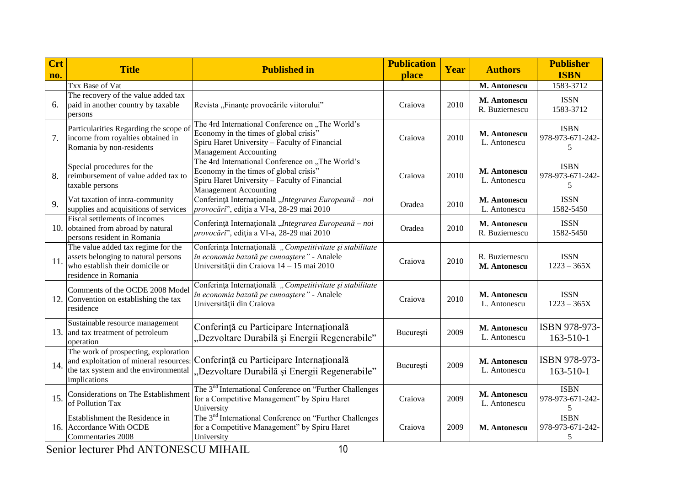| <b>Crt</b><br>no. | <b>Title</b>                                                                                                                           | <b>Published in</b>                                                                                                                                                         | <b>Publication</b><br><b>place</b> | Year | <b>Authors</b>                 | <b>Publisher</b><br><b>ISBN</b>      |
|-------------------|----------------------------------------------------------------------------------------------------------------------------------------|-----------------------------------------------------------------------------------------------------------------------------------------------------------------------------|------------------------------------|------|--------------------------------|--------------------------------------|
|                   | Txx Base of Vat                                                                                                                        |                                                                                                                                                                             |                                    |      | M. Antonescu                   | 1583-3712                            |
| 6.                | The recovery of the value added tax<br>paid in another country by taxable<br>persons                                                   | Revista "Finanțe provocările viitorului"                                                                                                                                    | Craiova                            | 2010 | M. Antonescu<br>R. Buziernescu | <b>ISSN</b><br>1583-3712             |
| 7.                | Particularities Regarding the scope of<br>income from royalties obtained in<br>Romania by non-residents                                | The 4rd International Conference on "The World's<br>Economy in the times of global crisis"<br>Spiru Haret University - Faculty of Financial<br><b>Management Accounting</b> | Craiova                            | 2010 | M. Antonescu<br>L. Antonescu   | <b>ISBN</b><br>978-973-671-242-<br>5 |
| 8.                | Special procedures for the<br>reimbursement of value added tax to<br>taxable persons                                                   | The 4rd International Conference on "The World's<br>Economy in the times of global crisis"<br>Spiru Haret University - Faculty of Financial<br><b>Management Accounting</b> | Craiova                            | 2010 | M. Antonescu<br>L. Antonescu   | <b>ISBN</b><br>978-973-671-242-<br>5 |
| 9.                | Vat taxation of intra-community<br>supplies and acquisitions of services                                                               | Conferință Internațională "Integrarea Europeană – noi<br>provocări", ediția a VI-a, 28-29 mai 2010                                                                          | Oradea                             | 2010 | M. Antonescu<br>L. Antonescu   | <b>ISSN</b><br>1582-5450             |
|                   | Fiscal settlements of incomes<br>10. obtained from abroad by natural<br>persons resident in Romania                                    | Conferință Internațională "Integrarea Europeană – noi<br>provocări", ediția a VI-a, 28-29 mai 2010                                                                          | Oradea                             | 2010 | M. Antonescu<br>R. Buziernescu | <b>ISSN</b><br>1582-5450             |
| 11.               | The value added tax regime for the<br>assets belonging to natural persons<br>who establish their domicile or<br>residence in Romania   | Conferința Internațională, Competitivitate și stabilitate<br>în economia bazată pe cunoaștere" - Analele<br>Universității din Craiova 14 - 15 mai 2010                      | Craiova                            | 2010 | R. Buziernescu<br>M. Antonescu | <b>ISSN</b><br>$1223 - 365X$         |
|                   | Comments of the OCDE 2008 Model<br>12. Convention on establishing the tax<br>residence                                                 | Conferința Internațională, Competitivitate și stabilitate<br>în economia bazată pe cunoaștere" - Analele<br>Universității din Craiova                                       | Craiova                            | 2010 | M. Antonescu<br>L. Antonescu   | <b>ISSN</b><br>$1223 - 365X$         |
|                   | Sustainable resource management<br>13. and tax treatment of petroleum<br>operation                                                     | Conferință cu Participare Internațională<br>"Dezvoltare Durabilă și Energii Regenerabile"                                                                                   | București                          | 2009 | M. Antonescu<br>L. Antonescu   | ISBN 978-973-<br>163-510-1           |
| 14.               | The work of prospecting, exploration<br>and exploitation of mineral resources:<br>the tax system and the environmental<br>implications | Conferință cu Participare Internațională<br>"Dezvoltare Durabilă și Energii Regenerabile"                                                                                   | București                          | 2009 | M. Antonescu<br>L. Antonescu   | ISBN 978-973-<br>$163 - 510 - 1$     |
| 15.               | Considerations on The Establishment<br>of Pollution Tax                                                                                | The 3 <sup>nd</sup> International Conference on "Further Challenges"<br>for a Competitive Management" by Spiru Haret<br>University                                          | Craiova                            | 2009 | M. Antonescu<br>L. Antonescu   | <b>ISBN</b><br>978-973-671-242-<br>5 |
|                   | Establishment the Residence in<br>16. Accordance With OCDE<br>Commentaries 2008                                                        | The 3 <sup>nd</sup> International Conference on "Further Challenges"<br>for a Competitive Management" by Spiru Haret<br>University                                          | Craiova                            | 2009 | M. Antonescu                   | <b>ISBN</b><br>978-973-671-242-<br>5 |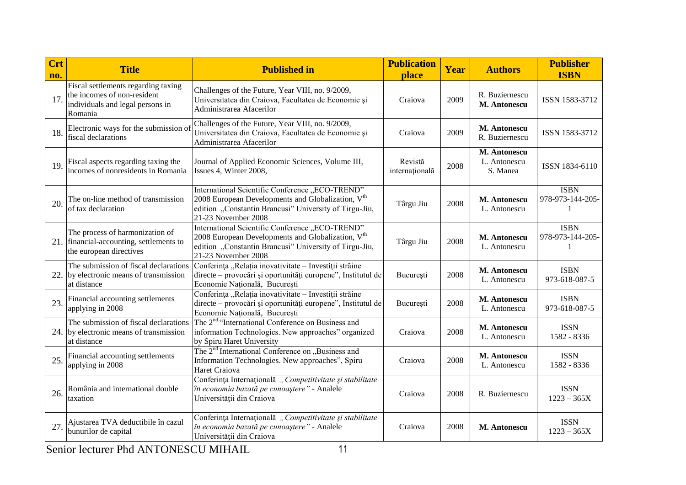| $\overline{\text{Crt}}$<br>no. | <b>Title</b>                                                                                                      | <b>Published in</b>                                                                                                                                                                               | <b>Publication</b><br>place | Year | <b>Authors</b>                           | <b>Publisher</b><br><b>ISBN</b>                 |
|--------------------------------|-------------------------------------------------------------------------------------------------------------------|---------------------------------------------------------------------------------------------------------------------------------------------------------------------------------------------------|-----------------------------|------|------------------------------------------|-------------------------------------------------|
| 17.                            | Fiscal settlements regarding taxing<br>the incomes of non-resident<br>individuals and legal persons in<br>Romania | Challenges of the Future, Year VIII, no. 9/2009,<br>Universitatea din Craiova, Facultatea de Economie și<br>Administrarea Afacerilor                                                              | Craiova                     | 2009 | R. Buziernescu<br><b>M. Antonescu</b>    | ISSN 1583-3712                                  |
| 18.                            | Electronic ways for the submission of<br>fiscal declarations                                                      | Challenges of the Future, Year VIII, no. 9/2009,<br>Universitatea din Craiova, Facultatea de Economie și<br>Administrarea Afacerilor                                                              | Craiova                     | 2009 | M. Antonescu<br>R. Buziernescu           | ISSN 1583-3712                                  |
| 19.                            | Fiscal aspects regarding taxing the<br>incomes of nonresidents in Romania                                         | Journal of Applied Economic Sciences, Volume III,<br>Issues 4, Winter 2008,                                                                                                                       | Revistă<br>internațională   | 2008 | M. Antonescu<br>L. Antonescu<br>S. Manea | ISSN 1834-6110                                  |
| 20.                            | The on-line method of transmission<br>of tax declaration                                                          | International Scientific Conference "ECO-TREND"<br>2008 European Developments and Globalization, $Vth$<br>edition "Constantin Brancusi" University of Tirgu-Jiu,<br>21-23 November 2008           | Târgu Jiu                   | 2008 | M. Antonescu<br>L. Antonescu             | <b>ISBN</b><br>978-973-144-205-<br>1            |
|                                | The process of harmonization of<br>21. financial-accounting, settlements to<br>the european directives            | International Scientific Conference "ECO-TREND"<br>2008 European Developments and Globalization, V <sup>th</sup><br>edition "Constantin Brancusi" University of Tirgu-Jiu,<br>21-23 November 2008 | Târgu Jiu                   | 2008 | M. Antonescu<br>L. Antonescu             | <b>ISBN</b><br>978-973-144-205-<br>$\mathbf{1}$ |
| 22.                            | The submission of fiscal declarations<br>by electronic means of transmission<br>at distance                       | Conferința "Relația inovativitate - Investiții străine<br>directe – provocări și oportunități europene", Institutul de<br>Economie Națională, București                                           | București                   | 2008 | M. Antonescu<br>L. Antonescu             | <b>ISBN</b><br>973-618-087-5                    |
| 23.                            | Financial accounting settlements<br>applying in 2008                                                              | Conferința "Relația inovativitate - Investiții străine<br>directe – provocări și oportunități europene", Institutul de<br>Economie Națională, București                                           | București                   | 2008 | M. Antonescu<br>L. Antonescu             | <b>ISBN</b><br>973-618-087-5                    |
|                                | The submission of fiscal declarations<br>24. by electronic means of transmission<br>at distance                   | The 2 <sup>nd</sup> "International Conference on Business and<br>information Technologies. New approaches" organized<br>by Spiru Haret University                                                 | Craiova                     | 2008 | M. Antonescu<br>L. Antonescu             | <b>ISSN</b><br>1582 - 8336                      |
| 25.                            | Financial accounting settlements<br>applying in 2008                                                              | The 2 <sup>nd</sup> International Conference on "Business and<br>Information Technologies. New approaches", Spiru<br>Haret Craiova                                                                | Craiova                     | 2008 | M. Antonescu<br>L. Antonescu             | <b>ISSN</b><br>1582 - 8336                      |
| 26.                            | România and international double<br>taxation                                                                      | Conferința Internațională, Competitivitate și stabilitate<br>în economia bazată pe cunoaștere" - Analele<br>Universității din Craiova                                                             | Craiova                     | 2008 | R. Buziernescu                           | <b>ISSN</b><br>$1223 - 365X$                    |
| 27.                            | Ajustarea TVA deductibile în cazul<br>bunurilor de capital                                                        | Conferința Internațională, Competitivitate și stabilitate<br>în economia bazată pe cunoaștere" - Analele<br>Universității din Craiova                                                             | Craiova                     | 2008 | M. Antonescu                             | <b>ISSN</b><br>$1223 - 365X$                    |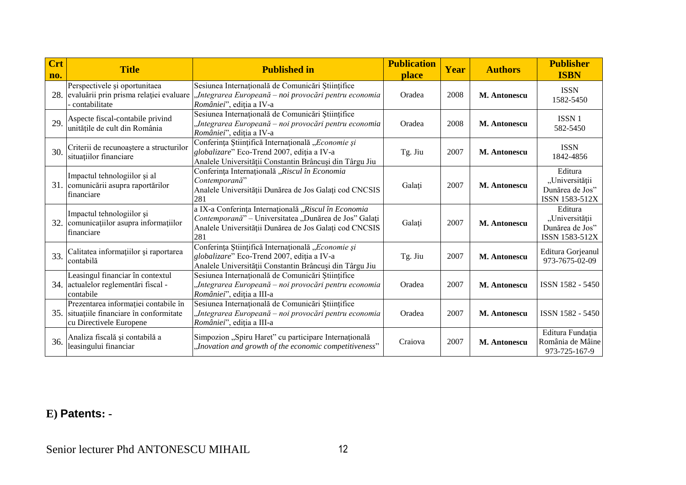| <b>Crt</b><br>no. | <b>Title</b>                                                                                                 | <b>Published in</b>                                                                                                                                                            | <b>Publication</b><br><b>place</b> | Year | <b>Authors</b> | <b>Publisher</b><br><b>ISBN</b>                                |
|-------------------|--------------------------------------------------------------------------------------------------------------|--------------------------------------------------------------------------------------------------------------------------------------------------------------------------------|------------------------------------|------|----------------|----------------------------------------------------------------|
|                   | Perspectivele și oportunitaea<br>28. evaluării prin prisma relației evaluare<br>contabilitate                | Sesiunea Internațională de Comunicări Științifice<br>Integrarea Europeană – noi provocări pentru economia<br>României", ediția a IV-a                                          | Oradea                             | 2008 | M. Antonescu   | <b>ISSN</b><br>1582-5450                                       |
| 29.               | Aspecte fiscal-contabile privind<br>unitățile de cult din România                                            | Sesiunea Internațională de Comunicări Științifice<br>Integrarea Europeană – noi provocări pentru economia<br>României", ediția a IV-a                                          | Oradea                             | 2008 | M. Antonescu   | ISSN <sub>1</sub><br>582-5450                                  |
| 30.               | Criterii de recunoaștere a structurilor<br>situatiilor financiare                                            | Conferința Științifică Internațională "Economie și<br>globalizare" Eco-Trend 2007, ediția a IV-a<br>Analele Universității Constantin Brâncuși din Târgu Jiu                    | Tg. Jiu                            | 2007 | M. Antonescu   | <b>ISSN</b><br>1842-4856                                       |
|                   | Impactul tehnologiilor și al<br>31. comunicării asupra raportărilor<br>financiare                            | Conferința Internațională "Riscul în Economia<br>Contemporană"<br>Analele Universității Dunărea de Jos Galați cod CNCSIS<br>281                                                | Galați                             | 2007 | M. Antonescu   | Editura<br>"Universității<br>Dunărea de Jos"<br>ISSN 1583-512X |
|                   | Impactul tehnologiilor și<br>32. comunicatiilor asupra informatiilor<br>financiare                           | a IX-a Conferința Internațională "Riscul în Economia<br>Contemporană" – Universitatea "Dunărea de Jos" Galați<br>Analele Universității Dunărea de Jos Galați cod CNCSIS<br>281 | Galați                             | 2007 | M. Antonescu   | Editura<br>"Universității<br>Dunărea de Jos"<br>ISSN 1583-512X |
| 33.               | Calitatea informațiilor și raportarea<br>contabilă                                                           | Conferința Științifică Internațională "Economie și<br>globalizare" Eco-Trend 2007, ediția a IV-a<br>Analele Universității Constantin Brâncuși din Târgu Jiu                    | Tg. Jiu                            | 2007 | M. Antonescu   | Editura Gorjeanul<br>973-7675-02-09                            |
|                   | Leasingul financiar în contextul<br>34. actualelor reglementări fiscal -<br>contabile                        | Sesiunea Internațională de Comunicări Științifice<br>"Integrarea Europeană – noi provocări pentru economia<br>României", ediția a III-a                                        | Oradea                             | 2007 | M. Antonescu   | ISSN 1582 - 5450                                               |
|                   | Prezentarea informației contabile în<br>35. situațiile financiare în conformitate<br>cu Directivele Europene | Sesiunea Internațională de Comunicări Științifice<br>"Integrarea Europeană – noi provocări pentru economia<br>României", ediția a III-a                                        | Oradea                             | 2007 | M. Antonescu   | ISSN 1582 - 5450                                               |
| 36.               | Analiza fiscală și contabilă a<br>leasingului financiar                                                      | Simpozion "Spiru Haret" cu participare Internațională<br>"Inovation and growth of the economic competitiveness"                                                                | Craiova                            | 2007 | M. Antonescu   | Editura Fundația<br>România de Mâine<br>973-725-167-9          |

# **E) Patents: -**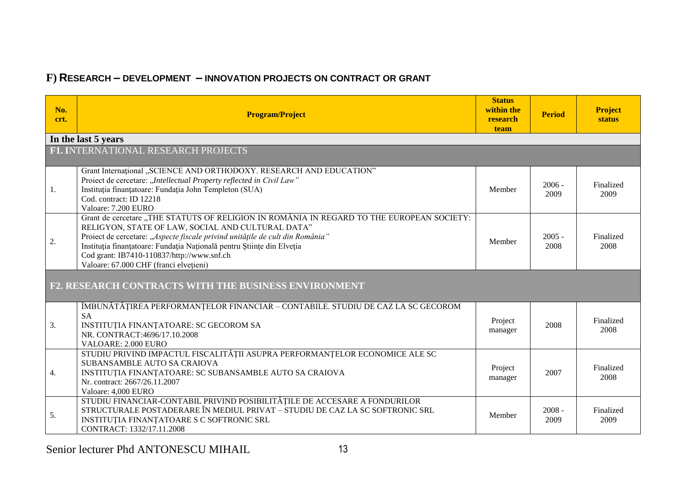# **F) RESEARCH – DEVELOPMENT – INNOVATION PROJECTS ON CONTRACT OR GRANT**

| No.<br>crt. | <b>Program/Project</b>                                                                                                                                                                                                                                                                                                                                                                            | <b>Status</b><br>within the<br>research<br>team | <b>Period</b>    | <b>Project</b><br><b>status</b> |  |  |  |  |
|-------------|---------------------------------------------------------------------------------------------------------------------------------------------------------------------------------------------------------------------------------------------------------------------------------------------------------------------------------------------------------------------------------------------------|-------------------------------------------------|------------------|---------------------------------|--|--|--|--|
|             | In the last 5 years                                                                                                                                                                                                                                                                                                                                                                               |                                                 |                  |                                 |  |  |  |  |
|             | F1. INTERNATIONAL RESEARCH PROJECTS                                                                                                                                                                                                                                                                                                                                                               |                                                 |                  |                                 |  |  |  |  |
| 1.          | Grant International "SCIENCE AND ORTHODOXY. RESEARCH AND EDUCATION"<br>Proiect de cercetare: "Intellectual Property reflected in Civil Law"<br>Instituția finanțatoare: Fundația John Templeton (SUA)<br>Cod. contract: ID 12218<br>Valoare: 7.200 EURO                                                                                                                                           | Member                                          | $2006 -$<br>2009 | Finalized<br>2009               |  |  |  |  |
| 2.          | Grant de cercetare "THE STATUTS OF RELIGION IN ROMÂNIA IN REGARD TO THE EUROPEAN SOCIETY:<br>RELIGYON, STATE OF LAW, SOCIAL AND CULTURAL DATA"<br>Proiect de cercetare: "Aspecte fiscale privind unitățile de cult din România"<br>Instituția finanțatoare: Fundația Națională pentru Științe din Elveția<br>Cod grant: IB7410-110837/http://www.snf.ch<br>Valoare: 67.000 CHF (franci elvețieni) | Member                                          | $2005 -$<br>2008 | Finalized<br>2008               |  |  |  |  |
|             | F2. RESEARCH CONTRACTS WITH THE BUSINESS ENVIRONMENT                                                                                                                                                                                                                                                                                                                                              |                                                 |                  |                                 |  |  |  |  |
| 3.          | ÎMBUNĂTĂȚIREA PERFORMANȚELOR FINANCIAR – CONTABILE. STUDIU DE CAZ LA SC GECOROM<br><b>SA</b><br>INSTITUȚIA FINANȚATOARE: SC GECOROM SA<br>NR. CONTRACT:4696/17.10.2008<br>VALOARE: 2.000 EURO                                                                                                                                                                                                     | Project<br>manager                              | 2008             | Finalized<br>2008               |  |  |  |  |
| 4.          | STUDIU PRIVIND IMPACTUL FISCALITĂȚII ASUPRA PERFORMANȚELOR ECONOMICE ALE SC<br>SUBANSAMBLE AUTO SA CRAIOVA<br>INSTITUȚIA FINANȚATOARE: SC SUBANSAMBLE AUTO SA CRAIOVA<br>Nr. contract: 2667/26.11.2007<br>Valoare: 4,000 EURO                                                                                                                                                                     | Project<br>manager                              | 2007             | Finalized<br>2008               |  |  |  |  |
| 5.          | STUDIU FINANCIAR-CONTABIL PRIVIND POSIBILITĂȚILE DE ACCESARE A FONDURILOR<br>STRUCTURALE POSTADERARE ÎN MEDIUL PRIVAT - STUDIU DE CAZ LA SC SOFTRONIC SRL<br>INSTITUȚIA FINANȚATOARE S C SOFTRONIC SRL<br>CONTRACT: 1332/17.11.2008                                                                                                                                                               | Member                                          | $2008 -$<br>2009 | Finalized<br>2009               |  |  |  |  |